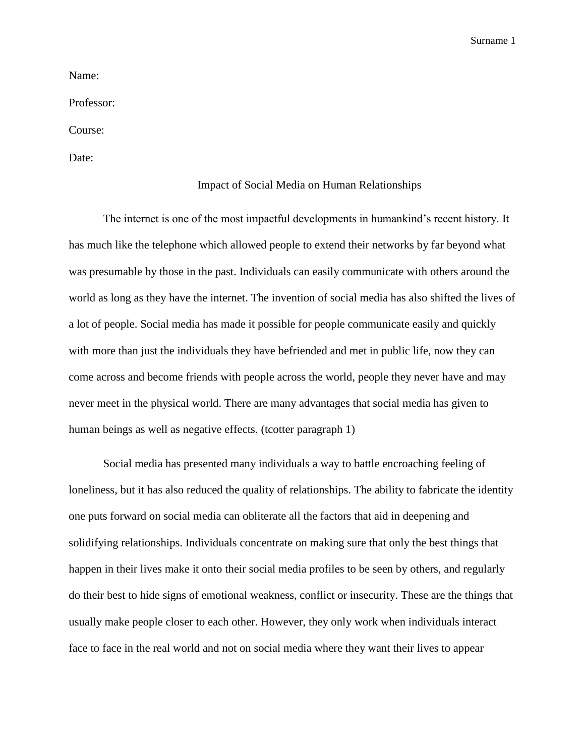Surname 1

Name:

Professor:

Course:

Date:

## Impact of Social Media on Human Relationships

The internet is one of the most impactful developments in humankind's recent history. It has much like the telephone which allowed people to extend their networks by far beyond what was presumable by those in the past. Individuals can easily communicate with others around the world as long as they have the internet. The invention of social media has also shifted the lives of a lot of people. Social media has made it possible for people communicate easily and quickly with more than just the individuals they have befriended and met in public life, now they can come across and become friends with people across the world, people they never have and may never meet in the physical world. There are many advantages that social media has given to human beings as well as negative effects. (tcotter paragraph 1)

Social media has presented many individuals a way to battle encroaching feeling of loneliness, but it has also reduced the quality of relationships. The ability to fabricate the identity one puts forward on social media can obliterate all the factors that aid in deepening and solidifying relationships. Individuals concentrate on making sure that only the best things that happen in their lives make it onto their social media profiles to be seen by others, and regularly do their best to hide signs of emotional weakness, conflict or insecurity. These are the things that usually make people closer to each other. However, they only work when individuals interact face to face in the real world and not on social media where they want their lives to appear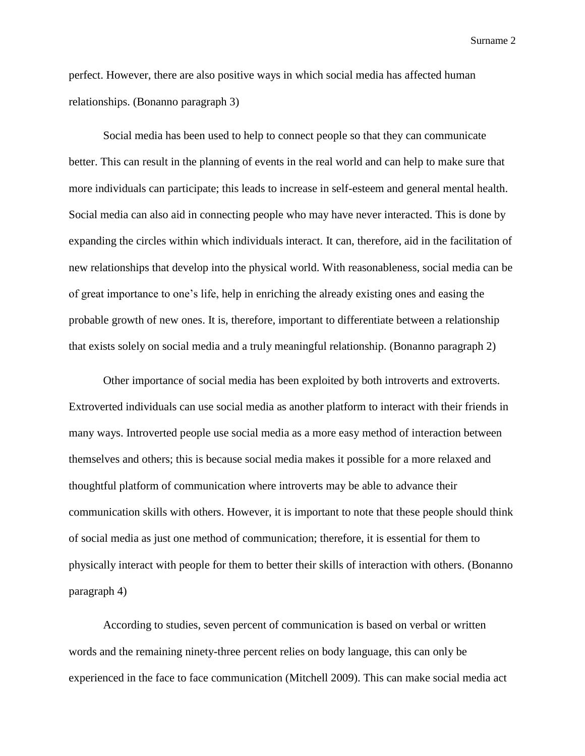Surname 2

perfect. However, there are also positive ways in which social media has affected human relationships. (Bonanno paragraph 3)

Social media has been used to help to connect people so that they can communicate better. This can result in the planning of events in the real world and can help to make sure that more individuals can participate; this leads to increase in self-esteem and general mental health. Social media can also aid in connecting people who may have never interacted. This is done by expanding the circles within which individuals interact. It can, therefore, aid in the facilitation of new relationships that develop into the physical world. With reasonableness, social media can be of great importance to one's life, help in enriching the already existing ones and easing the probable growth of new ones. It is, therefore, important to differentiate between a relationship that exists solely on social media and a truly meaningful relationship. (Bonanno paragraph 2)

Other importance of social media has been exploited by both introverts and extroverts. Extroverted individuals can use social media as another platform to interact with their friends in many ways. Introverted people use social media as a more easy method of interaction between themselves and others; this is because social media makes it possible for a more relaxed and thoughtful platform of communication where introverts may be able to advance their communication skills with others. However, it is important to note that these people should think of social media as just one method of communication; therefore, it is essential for them to physically interact with people for them to better their skills of interaction with others. (Bonanno paragraph 4)

According to studies, seven percent of communication is based on verbal or written words and the remaining ninety-three percent relies on body language, this can only be experienced in the face to face communication (Mitchell 2009). This can make social media act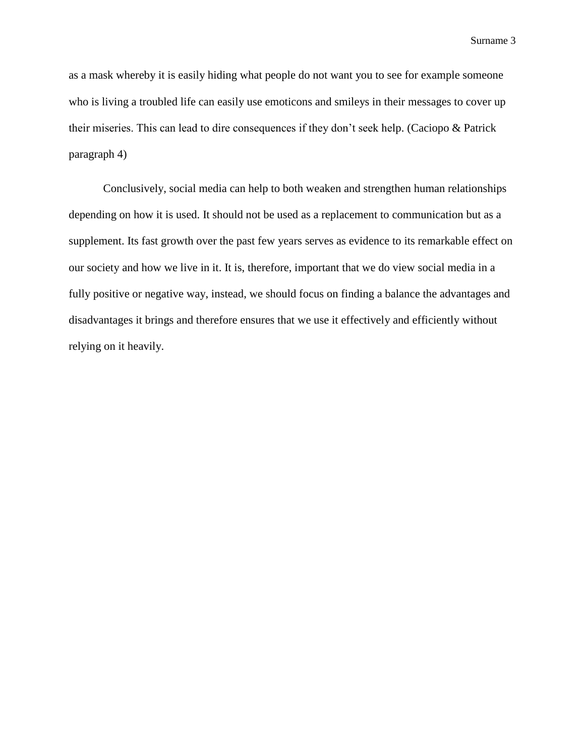Surname 3

as a mask whereby it is easily hiding what people do not want you to see for example someone who is living a troubled life can easily use emoticons and smileys in their messages to cover up their miseries. This can lead to dire consequences if they don't seek help. (Caciopo & Patrick paragraph 4)

Conclusively, social media can help to both weaken and strengthen human relationships depending on how it is used. It should not be used as a replacement to communication but as a supplement. Its fast growth over the past few years serves as evidence to its remarkable effect on our society and how we live in it. It is, therefore, important that we do view social media in a fully positive or negative way, instead, we should focus on finding a balance the advantages and disadvantages it brings and therefore ensures that we use it effectively and efficiently without relying on it heavily.